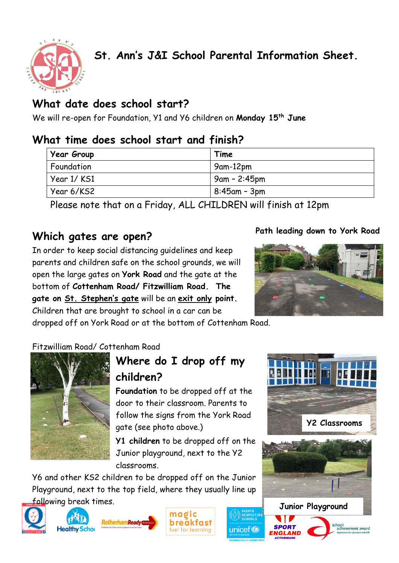

## **What date does school start?**

We will re-open for Foundation, Y1 and Y6 children on **Monday 15th June**

### **What time does school start and finish?**

| Year Group  | Time            |
|-------------|-----------------|
| Foundation  | 9am-12pm        |
| Year 1/ KS1 | 9am - 2:45pm    |
| Year 6/KS2  | $8:45$ am - 3pm |

Please note that on a Friday, ALL CHILDREN will finish at 12pm

## **Which gates are open?**

In order to keep social distancing guidelines and keep parents and children safe on the school grounds, we will open the large gates on **York Road** and the gate at the bottom of **Cottenham Road/ Fitzwilliam Road. The gate on St. Stephen's gate** will be an **exit only point.** Children that are brought to school in a car can be

dropped off on York Road or at the bottom of Cottenham Road.

#### Fitzwilliam Road/ Cottenham Road



# **Where do I drop off my children?**

**Foundation** to be dropped off at the door to their classroom. Parents to follow the signs from the York Road gate (see photo above.)

**Y1 children** to be dropped off on the Junior playground, next to the Y2 classrooms.

Y6 and other KS2 children to be dropped off on the Junior Playground, next to the top field, where they usually line up following break times.







unicef<sup>®</sup>

#### **Path leading down to York Road** gate